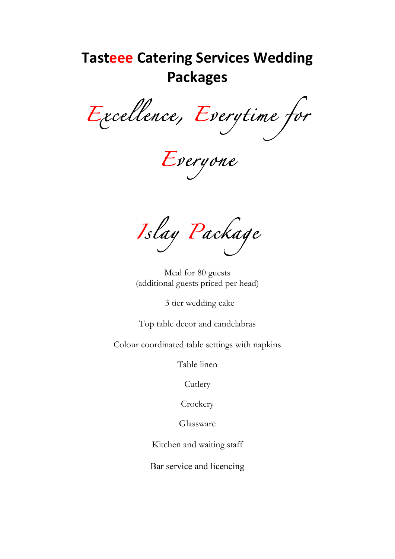## **Tasteee Catering Services Wedding Packages**

*Excellence, Everytime for* 

*Everyone* 

*Islay Package* 

Meal for 80 guests (additional guests priced per head)

3 tier wedding cake

Top table decor and candelabras

Colour coordinated table settings with napkins

Table linen

Cutlery

**Crockery** 

Glassware

Kitchen and waiting staff

Bar service and licencing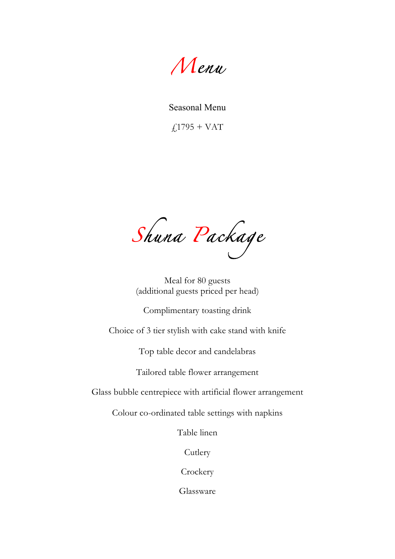*Menu* 

Seasonal Menu

 $f_{1795} + VAT$ 

*Shuna Package* 

Meal for 80 guests (additional guests priced per head)

Complimentary toasting drink

Choice of 3 tier stylish with cake stand with knife

Top table decor and candelabras

Tailored table flower arrangement

Glass bubble centrepiece with artificial flower arrangement

Colour co-ordinated table settings with napkins

Table linen

Cutlery

**Crockery** 

Glassware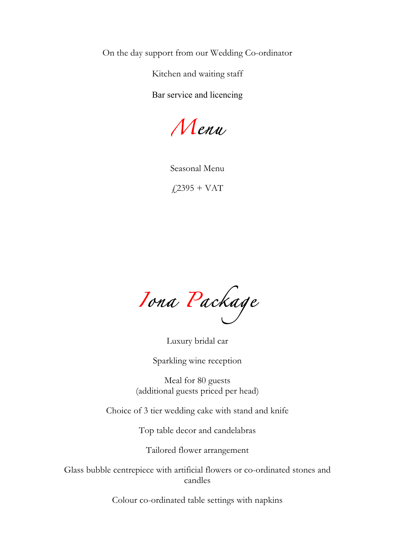On the day support from our Wedding Co-ordinator

Kitchen and waiting staff

Bar service and licencing

*Menu* 

Seasonal Menu

 $f$ <sub>2395</sub> + VAT

*Iona Package* 

Luxury bridal car

Sparkling wine reception

Meal for 80 guests (additional guests priced per head)

Choice of 3 tier wedding cake with stand and knife

Top table decor and candelabras

Tailored flower arrangement

Glass bubble centrepiece with artificial flowers or co-ordinated stones and candles

Colour co-ordinated table settings with napkins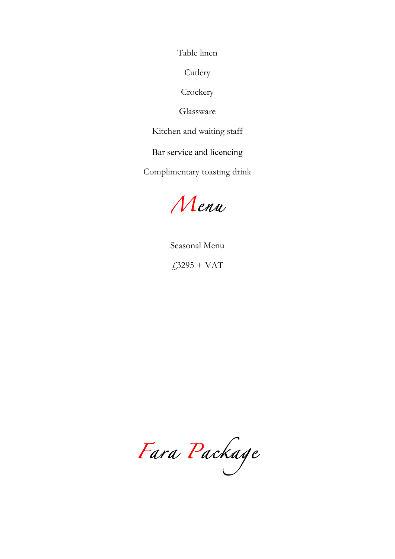Table linen

**Cutlery** 

**Crockery** 

Glassware

Kitchen and waiting staff

Bar service and licencing

Complimentary toasting drink

*Menu*

Seasonal Menu  $£3295 + VAT$ 

Fara Package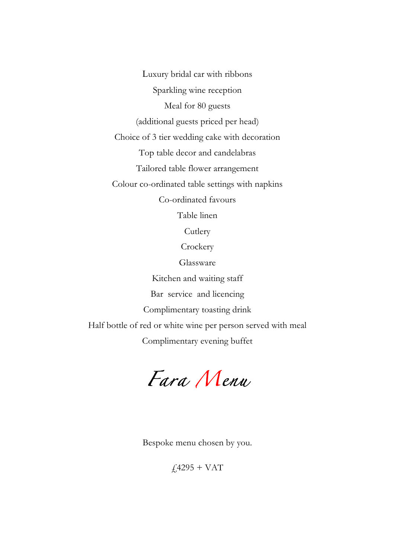Luxury bridal car with ribbons Sparkling wine reception Meal for 80 guests (additional guests priced per head) Choice of 3 tier wedding cake with decoration Top table decor and candelabras Tailored table flower arrangement Colour co-ordinated table settings with napkins Co-ordinated favours Table linen **Cutlery** 

**Crockery** 

Glassware

Kitchen and waiting staff Bar service and licencing Complimentary toasting drink Half bottle of red or white wine per person served with meal Complimentary evening buffet

*Fara Menu*

Bespoke menu chosen by you.

 $f4295 + VAT$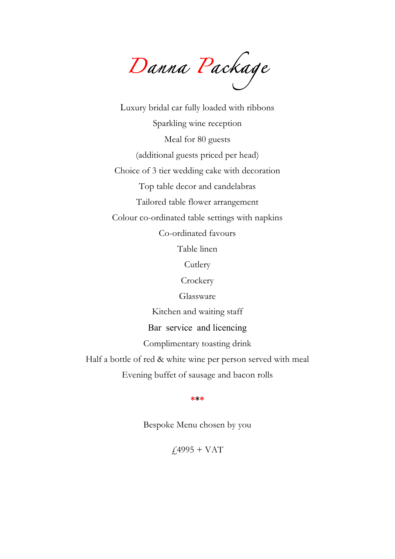*Danna Package* 

Luxury bridal car fully loaded with ribbons Sparkling wine reception Meal for 80 guests (additional guests priced per head) Choice of 3 tier wedding cake with decoration Top table decor and candelabras Tailored table flower arrangement Colour co-ordinated table settings with napkins Co-ordinated favours Table linen **Cutlery Crockery** Glassware Kitchen and waiting staff

Bar service and licencing

Complimentary toasting drink

Half a bottle of red & white wine per person served with meal

Evening buffet of sausage and bacon rolls

**\*\*\***

Bespoke Menu chosen by you

 $£4995 + VAT$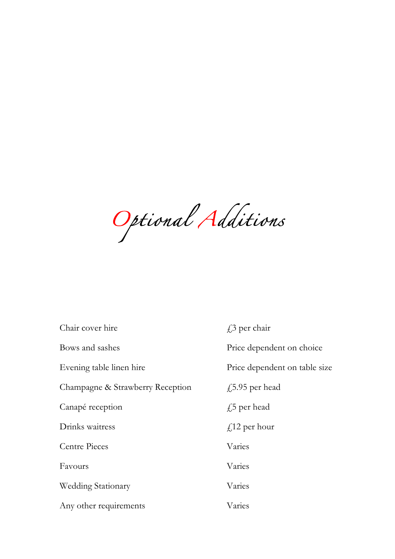*Optional Additions* 

| Chair cover hire                 | $f$ per chair                 |
|----------------------------------|-------------------------------|
| Bows and sashes                  | Price dependent on choice     |
| Evening table linen hire         | Price dependent on table size |
| Champagne & Strawberry Reception | $f$ ,5.95 per head            |
| Canapé reception                 | $f15$ per head                |
| Drinks waitress                  | $f$ 12 per hour               |
| <b>Centre Pieces</b>             | Varies                        |
| Favours                          | Varies                        |
| <b>Wedding Stationary</b>        | Varies                        |
| Any other requirements           | Varies                        |